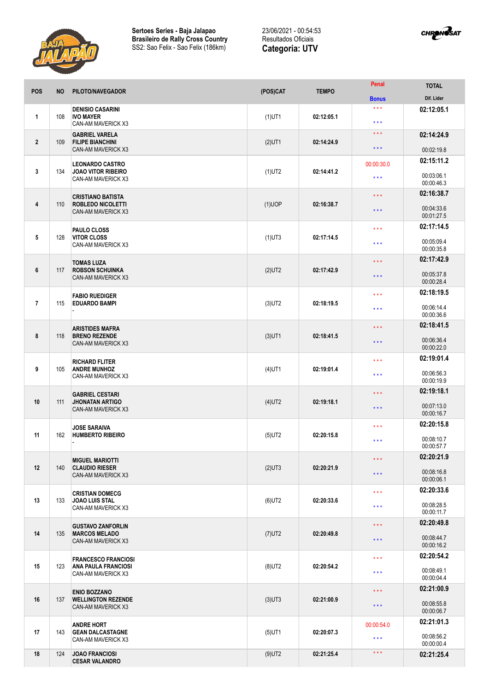



| <b>POS</b>     | <b>NO</b> | PILOTO/NAVEGADOR                                                              | (POS)CAT  | <b>TEMPO</b> | <b>Penal</b>                     | <b>TOTAL</b>             |
|----------------|-----------|-------------------------------------------------------------------------------|-----------|--------------|----------------------------------|--------------------------|
|                |           |                                                                               |           |              | <b>Bonus</b>                     | Dif. Lider               |
| 1              | 108       | <b>DENISIO CASARINI</b><br><b>IVO MAYER</b><br>CAN-AM MAVERICK X3             | $(1)$ UT1 | 02:12:05.1   | $***$<br>$***$                   | 02:12:05.1               |
| $\overline{2}$ | 109       | <b>GABRIEL VARELA</b><br><b>FILIPE BIANCHINI</b><br><b>CAN-AM MAVERICK X3</b> | $(2)$ UT1 | 02:14:24.9   | $\star$ $\star$ $\star$<br>$***$ | 02:14:24.9<br>00:02:19.8 |
|                |           |                                                                               |           |              |                                  | 02:15:11.2               |
| 3              | 134       | <b>LEONARDO CASTRO</b><br><b>JOAO VITOR RIBEIRO</b><br>CAN-AM MAVERICK X3     | $(1)$ UT2 | 02:14:41.2   | 00:00:30.0<br>$***$              | 00:03:06.1<br>00:00:46.3 |
|                |           | <b>CRISTIANO BATISTA</b>                                                      |           | 02:16:38.7   | $***$                            | 02:16:38.7               |
| 4              | 110       | <b>ROBLEDO NICOLETTI</b><br>CAN-AM MAVERICK X3                                | $(1)$ UOP |              | $***$                            | 00:04:33.6<br>00:01:27.5 |
|                |           | PAULO CLOSS                                                                   |           | 02:17:14.5   | $***$                            | 02:17:14.5               |
| 5              | 128       | <b>VITOR CLOSS</b><br>CAN-AM MAVERICK X3                                      | $(1)$ UT3 |              | $***$                            | 00:05:09.4<br>00:00:35.8 |
|                |           | <b>TOMAS LUZA</b>                                                             |           |              | $\star$ $\star$ $\star$          | 02:17:42.9               |
| 6              | 117       | <b>ROBSON SCHUINKA</b><br><b>CAN-AM MAVERICK X3</b>                           | $(2)$ UT2 | 02:17:42.9   | $***$                            | 00:05:37.8<br>00:00:28.4 |
|                |           | <b>FABIO RUEDIGER</b>                                                         |           |              | $***$                            | 02:18:19.5               |
| $\overline{7}$ | 115       | <b>EDUARDO BAMPI</b>                                                          | $(3)$ UT2 | 02:18:19.5   | $***$                            | 00:06:14.4<br>00:00:36.6 |
|                |           | <b>ARISTIDES MAFRA</b>                                                        |           |              | $***$                            | 02:18:41.5               |
| 8              | 118       | <b>BRENO REZENDE</b><br>CAN-AM MAVERICK X3                                    | $(3)$ UT1 | 02:18:41.5   | $***$                            | 00:06:36.4<br>00:00:22.0 |
|                |           | <b>RICHARD FLITER</b><br><b>ANDRE MUNHOZ</b><br>CAN-AM MAVERICK X3            | $(4)$ UT1 | 02:19:01.4   | $***$                            | 02:19:01.4               |
| 9              | 105       |                                                                               |           |              | $***$                            | 00:06:56.3<br>00:00:19.9 |
|                |           | <b>GABRIEL CESTARI</b>                                                        |           | 02:19:18.1   | $***$                            | 02:19:18.1               |
| 10             | 111       | <b>JHONATAN ARTIGO</b><br>CAN-AM MAVERICK X3                                  | $(4)$ UT2 |              | $***$                            | 00:07:13.0<br>00:00:16.7 |
|                |           | <b>JOSE SARAIVA</b>                                                           |           | 02:20:15.8   | $***$                            | 02:20:15.8               |
| 11             | 162       | <b>HUMBERTO RIBEIRO</b>                                                       | $(5)$ UT2 |              | $\star$ $\star$ $\star$          | 00:08:10.7<br>00:00:57.7 |
|                |           | <b>MIGUEL MARIOTTI</b>                                                        |           |              | $\star$ $\star$ $\star$          | 02:20:21.9               |
| 12             | 140       | <b>CLAUDIO RIESER</b><br><b>CAN-AM MAVERICK X3</b>                            | $(2)$ UT3 | 02:20:21.9   | $***$                            | 00:08:16.8<br>00:00:06.1 |
|                |           | <b>CRISTIAN DOMECG</b>                                                        |           |              | $\star$ $\star$ $\star$          | 02:20:33.6               |
| 13             | 133       | <b>JOAO LUIS STAL</b><br>CAN-AM MAVERICK X3                                   | $(6)$ UT2 | 02:20:33.6   | $***$                            | 00:08:28.5<br>00:00:11.7 |
|                | 135       | <b>GUSTAVO ZANFORLIN</b><br><b>MARCOS MELADO</b><br>CAN-AM MAVERICK X3        | $(7)$ UT2 | 02:20:49.8   | $\star$ $\star$ $\star$          | 02:20:49.8               |
| 14             |           |                                                                               |           |              | $***$                            | 00:08:44.7<br>00:00:16.2 |
|                | 123       | <b>FRANCESCO FRANCIOSI</b>                                                    | $(8)$ UT2 |              | $***$                            | 02:20:54.2               |
| 15             |           | <b>ANA PAULA FRANCIOSI</b><br>CAN-AM MAVERICK X3                              |           | 02:20:54.2   | $***$                            | 00:08:49.1<br>00:00:04.4 |
|                | 137       | <b>ENIO BOZZANO</b><br><b>WELLINGTON REZENDE</b><br>CAN-AM MAVERICK X3        | $(3)$ UT3 | 02:21:00.9   | $\star$ $\star$ $\star$          | 02:21:00.9               |
| 16             |           |                                                                               |           |              | $***$                            | 00:08:55.8<br>00:00:06.7 |
|                |           | <b>ANDRE HORT</b>                                                             |           | 02:20:07.3   | 00:00:54.0                       | 02:21:01.3               |
| 17             | 143       | <b>GEAN DALCASTAGNE</b><br>CAN-AM MAVERICK X3                                 | $(5)$ UT1 |              | $***$                            | 00:08:56.2<br>00:00:00.4 |
| 18             | 124       | <b>JOAO FRANCIOSI</b><br><b>CESAR VALANDRO</b>                                | $(9)$ UT2 | 02:21:25.4   | $\star$ $\star$ $\star$          | 02:21:25.4               |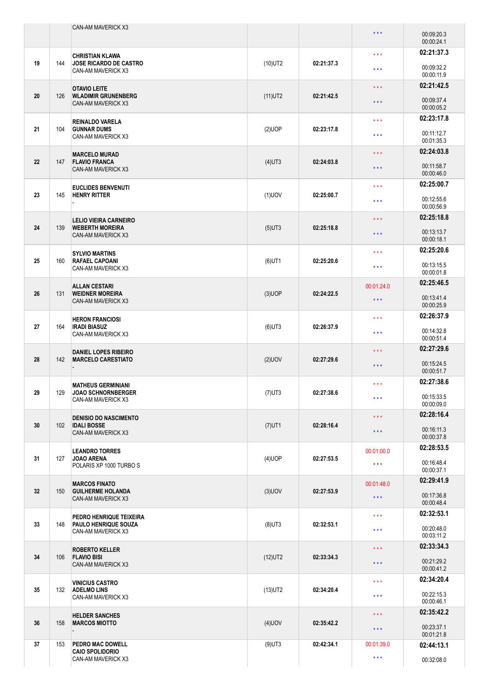|    |     | CAN-AM MAVERICK X3                                                            |            |            | $***$                   | 00:09:20.3<br>00:00:24.1 |
|----|-----|-------------------------------------------------------------------------------|------------|------------|-------------------------|--------------------------|
| 19 |     | <b>CHRISTIAN KLAWA</b><br><b>JOSE RICARDO DE CASTRO</b><br>CAN-AM MAVERICK X3 | $(10)$ UT2 | 02:21:37.3 | $***$                   | 02:21:37.3               |
|    | 144 |                                                                               |            |            | $***$                   | 00:09:32.2<br>00:00:11.9 |
| 20 | 126 | <b>OTAVIO LEITE</b><br><b>WLADIMIR GRUNENBERG</b><br>CAN-AM MAVERICK X3       | $(11)$ UT2 | 02:21:42.5 | $***$                   | 02:21:42.5               |
|    |     |                                                                               |            |            | $***$                   | 00:09:37.4<br>00:00:05.2 |
|    | 104 | <b>REINALDO VARELA</b><br><b>GUNNAR DUMS</b><br>CAN-AM MAVERICK X3            | (2)UOP     | 02:23:17.8 | $\star$ $\star$ $\star$ | 02:23:17.8               |
| 21 |     |                                                                               |            |            | $***$                   | 00:11:12.7<br>00:01:35.3 |
|    | 147 | <b>MARCELO MURAD</b><br><b>FLAVIO FRANCA</b><br>CAN-AM MAVERICK X3            | $(4)$ UT3  | 02:24:03.8 | $\star$ $\star$ $\star$ | 02:24:03.8               |
| 22 |     |                                                                               |            |            | $***$                   | 00:11:58.7<br>00:00:46.0 |
|    |     | <b>EUCLIDES BENVENUTI</b>                                                     |            | 02:25:00.7 | $***$                   | 02:25:00.7               |
| 23 | 145 | <b>HENRY RITTER</b>                                                           | $(1)$ UOV  |            | $***$                   | 00:12:55.6<br>00:00:56.9 |
| 24 | 139 | <b>LELIO VIEIRA CARNEIRO</b><br><b>WEBERTH MOREIRA</b><br>CAN-AM MAVERICK X3  | $(5)$ UT3  | 02:25:18.8 | $***$                   | 02:25:18.8               |
|    |     |                                                                               |            |            | $***$                   | 00:13:13.7<br>00:00:18.1 |
| 25 | 160 | <b>SYLVIO MARTINS</b><br><b>RAFAEL CAPOANI</b><br>CAN-AM MAVERICK X3          | $(6)$ UT1  | 02:25:20.6 | $***$                   | 02:25:20.6               |
|    |     |                                                                               |            |            | $***$                   | 00:13:15.5<br>00:00:01.8 |
| 26 | 131 | <b>ALLAN CESTARI</b><br><b>WEIDNER MOREIRA</b><br>CAN-AM MAVERICK X3          | $(3)$ UOP  | 02:24:22.5 | 00:01:24.0              | 02:25:46.5               |
|    |     |                                                                               |            |            | $\star$ $\star$ $\star$ | 00:13:41.4<br>00:00:25.9 |
| 27 | 164 | <b>HERON FRANCIOSI</b><br><b>IRADI BIASUZ</b><br>CAN-AM MAVERICK X3           | $(6)$ UT3  | 02:26:37.9 | $***$                   | 02:26:37.9               |
|    |     |                                                                               |            |            | $***$                   | 00:14:32.8<br>00:00:51.4 |
|    | 142 | <b>DANIEL LOPES RIBEIRO</b><br><b>MARCELO CARESTIATO</b>                      | $(2)$ UOV  | 02:27:29.6 | $\star$ $\star$ $\star$ | 02:27:29.6               |
| 28 |     |                                                                               |            |            | $***$                   | 00:15:24.5<br>00:00:51.7 |
|    |     | <b>MATHEUS GERMINIANI</b>                                                     |            | 02:27:38.6 | $***$                   | 02:27:38.6               |
| 29 | 129 | <b>JOAO SCHNORNBERGER</b><br>CAN-AM MAVERICK X3                               | $(7)$ UT3  |            | $\star$ $\star$ $\star$ | 00:15:33.5<br>00:00:09.0 |
|    |     | <b>DENISIO DO NASCIMENTO</b>                                                  |            | 02:28:16.4 | $\star$ $\star$ $\star$ | 02:28:16.4               |
| 30 | 102 | <b>IDALI BOSSE</b><br>CAN-AM MAVERICK X3                                      | $(7)$ UT1  |            | $\star$ $\star$ $\star$ | 00:16:11.3<br>00:00:37.8 |
|    |     | <b>LEANDRO TORRES</b>                                                         |            | 02:27:53.5 | 00:01:00.0              | 02:28:53.5               |
| 31 | 127 | <b>JOAO ARENA</b><br>POLARIS XP 1000 TURBO S                                  | $(4)$ UOP  |            | $\star$ $\star$ $\star$ | 00:16:48.4<br>00:00:37.1 |
|    |     | <b>MARCOS FINATO</b>                                                          |            |            | 00:01:48.0              | 02:29:41.9               |
| 32 | 150 | <b>GUILHERME HOLANDA</b><br>CAN-AM MAVERICK X3                                | $(3)$ UOV  | 02:27:53.9 | $\star$ $\star$ $\star$ | 00:17:36.8<br>00:00:48.4 |
|    | 148 | PEDRO HENRIQUE TEIXEIRA<br>PAULO HENRIQUE SOUZA<br>CAN-AM MAVERICK X3         | $(8)$ UT3  | 02:32:53.1 | $\star$ $\star$ $\star$ | 02:32:53.1               |
| 33 |     |                                                                               |            |            | $\star$ $\star$ $\star$ | 00:20:48.0<br>00:03:11.2 |
|    | 106 | <b>ROBERTO KELLER</b><br><b>FLAVIO BISI</b><br>CAN-AM MAVERICK X3             | $(12)$ UT2 | 02:33:34.3 | $\star$ $\star$ $\star$ | 02:33:34.3               |
| 34 |     |                                                                               |            |            | $\star$ $\star$ $\star$ | 00:21:29.2<br>00:00:41.2 |
|    | 132 | <b>VINICIUS CASTRO</b><br><b>ADELMO LINS</b><br>CAN-AM MAVERICK X3            | $(13)$ UT2 | 02:34:20.4 | $\star$ $\star$ $\star$ | 02:34:20.4               |
| 35 |     |                                                                               |            |            | $***$                   | 00:22:15.3<br>00:00:46.1 |
|    | 158 | <b>HELDER SANCHES</b><br><b>MARCOS MIOTTO</b>                                 | $(4)$ UOV  | 02:35:42.2 | $\star$ $\star$ $\star$ | 02:35:42.2               |
| 36 |     |                                                                               |            |            | $\star$ $\star$ $\star$ | 00:23:37.1<br>00:01:21.8 |
| 37 | 153 | PEDRO MAC DOWELL<br><b>CAIO SPOLIDORIO</b><br>CAN-AM MAVERICK X3              | $(9)$ UT3  | 02:42:34.1 | 00:01:39.0              | 02:44:13.1               |
|    |     |                                                                               |            |            | $\star$ $\star$ $\star$ | 00:32:08.0               |